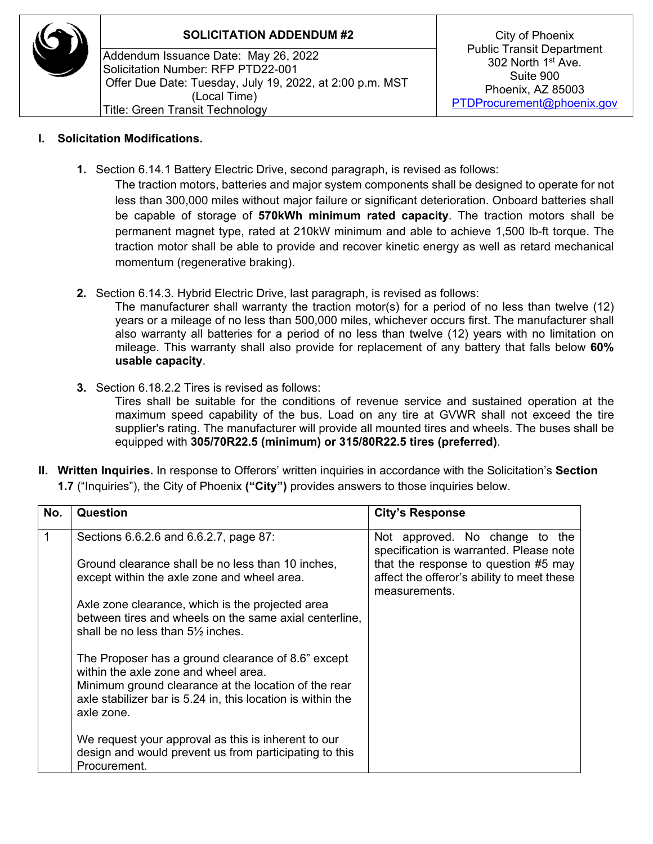

## **SOLICITATION ADDENDUM #2** City of Phoenix

Addendum Issuance Date: May 26, 2022 Solicitation Number: RFP PTD22-001 Offer Due Date: Tuesday, July 19, 2022, at 2:00 p.m. MST (Local Time) Title: Green Transit Technology

## **I. Solicitation Modifications.**

**1.** Section 6.14.1 Battery Electric Drive, second paragraph, is revised as follows:

The traction motors, batteries and major system components shall be designed to operate for not less than 300,000 miles without major failure or significant deterioration. Onboard batteries shall be capable of storage of **570kWh minimum rated capacity**. The traction motors shall be permanent magnet type, rated at 210kW minimum and able to achieve 1,500 lb-ft torque. The traction motor shall be able to provide and recover kinetic energy as well as retard mechanical momentum (regenerative braking).

**2.** Section 6.14.3. Hybrid Electric Drive, last paragraph, is revised as follows:

The manufacturer shall warranty the traction motor(s) for a period of no less than twelve (12) years or a mileage of no less than 500,000 miles, whichever occurs first. The manufacturer shall also warranty all batteries for a period of no less than twelve (12) years with no limitation on mileage. This warranty shall also provide for replacement of any battery that falls below **60% usable capacity**.

**3.** Section 6.18.2.2 Tires is revised as follows:

Tires shall be suitable for the conditions of revenue service and sustained operation at the maximum speed capability of the bus. Load on any tire at GVWR shall not exceed the tire supplier's rating. The manufacturer will provide all mounted tires and wheels. The buses shall be equipped with **305/70R22.5 (minimum) or 315/80R22.5 tires (preferred)**.

**II. Written Inquiries.** In response to Offerors' written inquiries in accordance with the Solicitation's **Section 1.7** ("Inquiries"), the City of Phoenix **("City")** provides answers to those inquiries below.

| No. | Question                                                                                                                                                                                                                        | <b>City's Response</b>                                                                              |
|-----|---------------------------------------------------------------------------------------------------------------------------------------------------------------------------------------------------------------------------------|-----------------------------------------------------------------------------------------------------|
|     | Sections 6.6.2.6 and 6.6.2.7, page 87:                                                                                                                                                                                          | Not approved. No change to the<br>specification is warranted. Please note                           |
|     | Ground clearance shall be no less than 10 inches,<br>except within the axle zone and wheel area.                                                                                                                                | that the response to question #5 may<br>affect the offeror's ability to meet these<br>measurements. |
|     | Axle zone clearance, which is the projected area<br>between tires and wheels on the same axial centerline,<br>shall be no less than $5\frac{1}{2}$ inches.                                                                      |                                                                                                     |
|     | The Proposer has a ground clearance of 8.6" except<br>within the axle zone and wheel area.<br>Minimum ground clearance at the location of the rear<br>axle stabilizer bar is 5.24 in, this location is within the<br>axle zone. |                                                                                                     |
|     | We request your approval as this is inherent to our<br>design and would prevent us from participating to this<br>Procurement.                                                                                                   |                                                                                                     |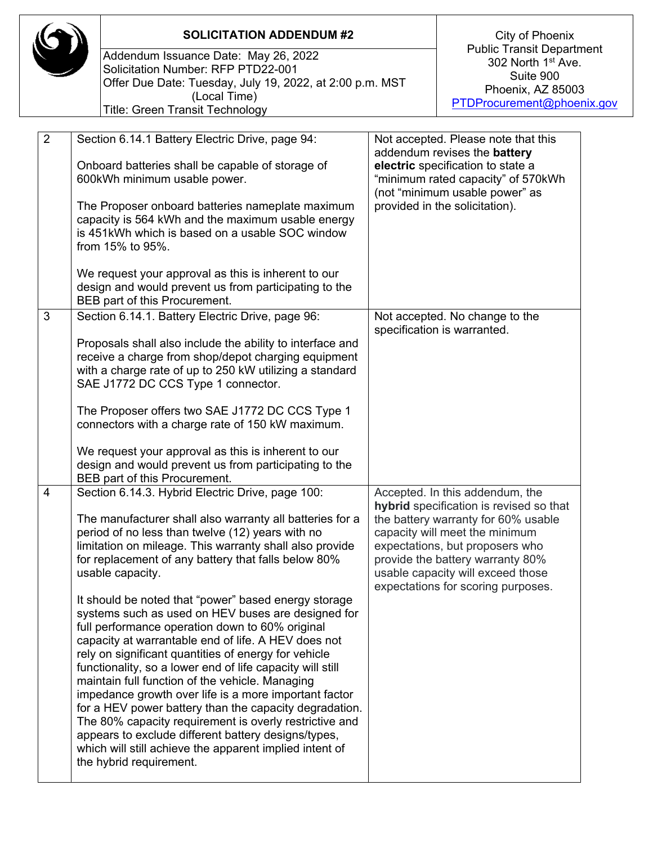|  |                | <b>SOLICITATION ADDENDUM #2</b>                                                                                                                                                                                                                                                                                                                                                                                                                                                                                                                                                                                                                                                                                                                                                                                                                                                                                                                                                                                                                                   |  | City of Phoenix                                                                                                                                                                                                                                                                                       |  |
|--|----------------|-------------------------------------------------------------------------------------------------------------------------------------------------------------------------------------------------------------------------------------------------------------------------------------------------------------------------------------------------------------------------------------------------------------------------------------------------------------------------------------------------------------------------------------------------------------------------------------------------------------------------------------------------------------------------------------------------------------------------------------------------------------------------------------------------------------------------------------------------------------------------------------------------------------------------------------------------------------------------------------------------------------------------------------------------------------------|--|-------------------------------------------------------------------------------------------------------------------------------------------------------------------------------------------------------------------------------------------------------------------------------------------------------|--|
|  |                | Addendum Issuance Date: May 26, 2022<br>Solicitation Number: RFP PTD22-001<br>Offer Due Date: Tuesday, July 19, 2022, at 2:00 p.m. MST<br>(Local Time)<br><b>Title: Green Transit Technology</b>                                                                                                                                                                                                                                                                                                                                                                                                                                                                                                                                                                                                                                                                                                                                                                                                                                                                  |  | <b>Public Transit Department</b><br>302 North 1 <sup>st</sup> Ave.<br>Suite 900<br>Phoenix, AZ 85003<br>PTDProcurement@phoenix.gov                                                                                                                                                                    |  |
|  | $\overline{2}$ | Section 6.14.1 Battery Electric Drive, page 94:<br>Onboard batteries shall be capable of storage of<br>600kWh minimum usable power.<br>The Proposer onboard batteries nameplate maximum<br>capacity is 564 kWh and the maximum usable energy<br>is 451kWh which is based on a usable SOC window<br>from 15% to 95%.<br>We request your approval as this is inherent to our<br>design and would prevent us from participating to the                                                                                                                                                                                                                                                                                                                                                                                                                                                                                                                                                                                                                               |  | Not accepted. Please note that this<br>addendum revises the <b>battery</b><br>electric specification to state a<br>"minimum rated capacity" of 570kWh<br>(not "minimum usable power" as<br>provided in the solicitation).                                                                             |  |
|  | 3              | BEB part of this Procurement.<br>Section 6.14.1. Battery Electric Drive, page 96:<br>Proposals shall also include the ability to interface and<br>receive a charge from shop/depot charging equipment<br>with a charge rate of up to 250 kW utilizing a standard<br>SAE J1772 DC CCS Type 1 connector.<br>The Proposer offers two SAE J1772 DC CCS Type 1<br>connectors with a charge rate of 150 kW maximum.<br>We request your approval as this is inherent to our<br>design and would prevent us from participating to the                                                                                                                                                                                                                                                                                                                                                                                                                                                                                                                                     |  | Not accepted. No change to the<br>specification is warranted.                                                                                                                                                                                                                                         |  |
|  | 4              | BEB part of this Procurement.<br>Section 6.14.3. Hybrid Electric Drive, page 100:<br>The manufacturer shall also warranty all batteries for a<br>period of no less than twelve (12) years with no<br>limitation on mileage. This warranty shall also provide<br>for replacement of any battery that falls below 80%<br>usable capacity.<br>It should be noted that "power" based energy storage<br>systems such as used on HEV buses are designed for<br>full performance operation down to 60% original<br>capacity at warrantable end of life. A HEV does not<br>rely on significant quantities of energy for vehicle<br>functionality, so a lower end of life capacity will still<br>maintain full function of the vehicle. Managing<br>impedance growth over life is a more important factor<br>for a HEV power battery than the capacity degradation.<br>The 80% capacity requirement is overly restrictive and<br>appears to exclude different battery designs/types,<br>which will still achieve the apparent implied intent of<br>the hybrid requirement. |  | Accepted. In this addendum, the<br>hybrid specification is revised so that<br>the battery warranty for 60% usable<br>capacity will meet the minimum<br>expectations, but proposers who<br>provide the battery warranty 80%<br>usable capacity will exceed those<br>expectations for scoring purposes. |  |

 $\sqrt{2}$